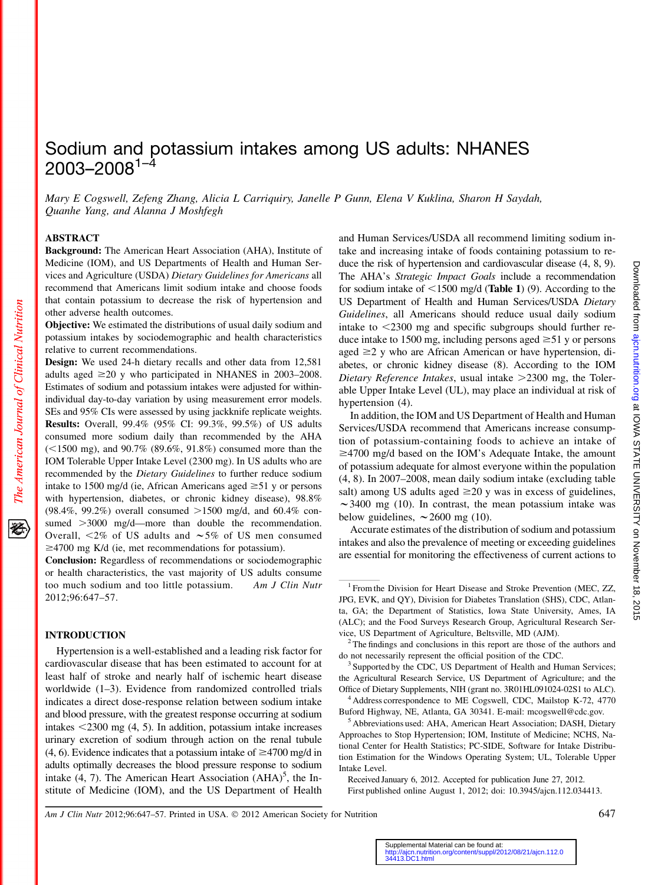# Sodium and potassium intakes among US adults: NHANES  $2003 - 2008^{1-\frac{3}{4}}$

Mary E Cogswell, Zefeng Zhang, Alicia L Carriquiry, Janelle P Gunn, Elena V Kuklina, Sharon H Saydah, Quanhe Yang, and Alanna J Moshfegh

## ABSTRACT

Background: The American Heart Association (AHA), Institute of Medicine (IOM), and US Departments of Health and Human Services and Agriculture (USDA) Dietary Guidelines for Americans all recommend that Americans limit sodium intake and choose foods that contain potassium to decrease the risk of hypertension and other adverse health outcomes.

Objective: We estimated the distributions of usual daily sodium and potassium intakes by sociodemographic and health characteristics relative to current recommendations.

Design: We used 24-h dietary recalls and other data from 12,581 adults aged  $\geq$ 20 y who participated in NHANES in 2003–2008. Estimates of sodium and potassium intakes were adjusted for withinindividual day-to-day variation by using measurement error models. SEs and 95% CIs were assessed by using jackknife replicate weights. Results: Overall, 99.4% (95% CI: 99.3%, 99.5%) of US adults consumed more sodium daily than recommended by the AHA  $(<1500$  mg), and  $90.7\%$  (89.6%, 91.8%) consumed more than the IOM Tolerable Upper Intake Level (2300 mg). In US adults who are recommended by the *Dietary Guidelines* to further reduce sodium intake to 1500 mg/d (ie, African Americans aged  $\geq 51$  y or persons with hypertension, diabetes, or chronic kidney disease), 98.8% (98.4%, 99.2%) overall consumed  $>1500$  mg/d, and 60.4% consumed  $>3000$  mg/d—more than double the recommendation. Overall,  $\leq 2\%$  of US adults and  $\sim 5\%$  of US men consumed  $\geq$ 4700 mg K/d (ie, met recommendations for potassium).

Conclusion: Regardless of recommendations or sociodemographic or health characteristics, the vast majority of US adults consume too much sodium and too little potassium. Am J Clin Nutr 2012;96:647–57.

# INTRODUCTION

Hypertension is a well-established and a leading risk factor for cardiovascular disease that has been estimated to account for at least half of stroke and nearly half of ischemic heart disease worldwide (1–3). Evidence from randomized controlled trials indicates a direct dose-response relation between sodium intake and blood pressure, with the greatest response occurring at sodium intakes  $\leq$ 2300 mg (4, 5). In addition, potassium intake increases urinary excretion of sodium through action on the renal tubule (4, 6). Evidence indicates that a potassium intake of  $\geq$ 4700 mg/d in adults optimally decreases the blood pressure response to sodium intake  $(4, 7)$ . The American Heart Association  $(AHA)^5$ , the Institute of Medicine (IOM), and the US Department of Health

and Human Services/USDA all recommend limiting sodium intake and increasing intake of foods containing potassium to reduce the risk of hypertension and cardiovascular disease (4, 8, 9). The AHA's Strategic Impact Goals include a recommendation for sodium intake of  $\leq$ 1500 mg/d (Table 1) (9). According to the US Department of Health and Human Services/USDA Dietary Guidelines, all Americans should reduce usual daily sodium intake to  $\leq$ 2300 mg and specific subgroups should further reduce intake to 1500 mg, including persons aged  $\geq 51$  y or persons aged  $\geq$  y who are African American or have hypertension, diabetes, or chronic kidney disease (8). According to the IOM Dietary Reference Intakes, usual intake  $>$ 2300 mg, the Tolerable Upper Intake Level (UL), may place an individual at risk of hypertension (4).

In addition, the IOM and US Department of Health and Human Services/USDA recommend that Americans increase consumption of potassium-containing foods to achieve an intake of  $\geq$ 4700 mg/d based on the IOM's Adequate Intake, the amount of potassium adequate for almost everyone within the population (4, 8). In 2007–2008, mean daily sodium intake (excluding table salt) among US adults aged  $\geq$ 20 y was in excess of guidelines,  $\sim$ 3400 mg (10). In contrast, the mean potassium intake was below guidelines,  $\sim$  2600 mg (10).

Accurate estimates of the distribution of sodium and potassium intakes and also the prevalence of meeting or exceeding guidelines are essential for monitoring the effectiveness of current actions to

First published online August 1, 2012; doi: 10.3945/ajcn.112.034413.

Am J Clin Nutr 2012;96:647–57. Printed in USA.  $\odot$  2012 American Society for Nutrition 647

移

<sup>&</sup>lt;sup>1</sup> From the Division for Heart Disease and Stroke Prevention (MEC, ZZ, JPG, EVK, and QY), Division for Diabetes Translation (SHS), CDC, Atlanta, GA; the Department of Statistics, Iowa State University, Ames, IA (ALC); and the Food Surveys Research Group, Agricultural Research Service, US Department of Agriculture, Beltsville, MD (AJM). <sup>2</sup> The findings and conclusions in this report are those of the authors and

do not necessarily represent the official position of the CDC.<br><sup>3</sup> Supported by the CDC, US Department of Health and Human Services;

the Agricultural Research Service, US Department of Agriculture; and the Office of Dietary Supplements, NIH (grant no. 3R01HL091024-02S1 to ALC).

<sup>&</sup>lt;sup>4</sup> Address correspondence to ME Cogswell, CDC, Mailstop K-72, 4770 Buford Highway, NE, Atlanta, GA 30341. E-mail: mcogswell@cdc.gov. <sup>5</sup> Abbreviations used: AHA, American Heart Association; DASH, Dietary

Approaches to Stop Hypertension; IOM, Institute of Medicine; NCHS, National Center for Health Statistics; PC-SIDE, Software for Intake Distribution Estimation for the Windows Operating System; UL, Tolerable Upper Intake Level.

Received January 6, 2012. Accepted for publication June 27, 2012.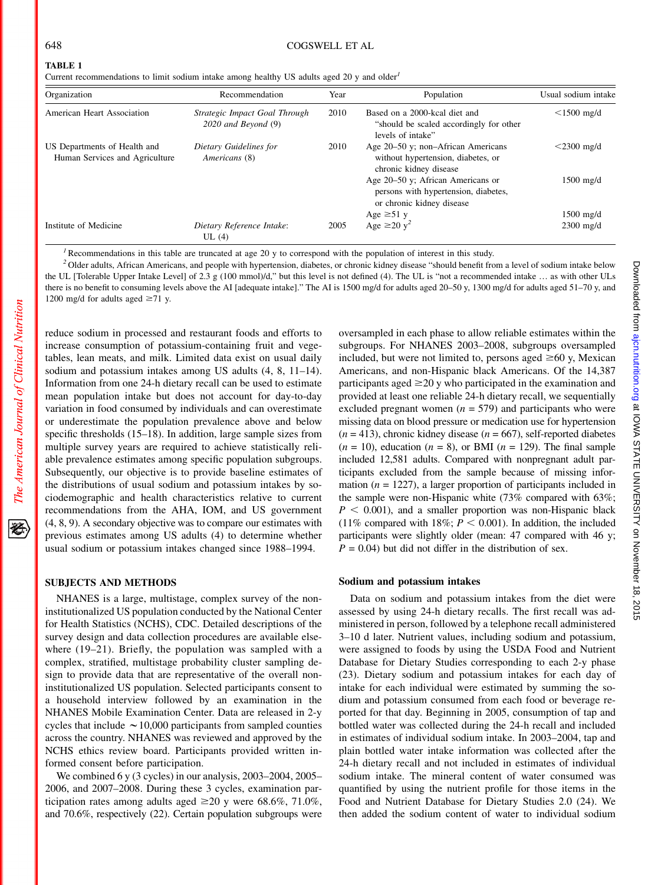The American Journal of Clinical Nutrition

经

# TABLE 1

Current recommendations to limit sodium intake among healthy US adults aged 20 y and older<sup>1</sup>

| Organization                                                   | Recommendation                                           | Year | Population                                                                                             | Usual sodium intake<br>$<$ 1500 mg/d |  |
|----------------------------------------------------------------|----------------------------------------------------------|------|--------------------------------------------------------------------------------------------------------|--------------------------------------|--|
| American Heart Association                                     | Strategic Impact Goal Through<br>$2020$ and Beyond $(9)$ | 2010 | Based on a 2000-kcal diet and<br>"should be scaled accordingly for other<br>levels of intake"          |                                      |  |
| US Departments of Health and<br>Human Services and Agriculture | Dietary Guidelines for<br>Americans (8)                  | 2010 | Age 20–50 y; non–African Americans<br>without hypertension, diabetes, or<br>chronic kidney disease     | $<$ 2300 mg/d                        |  |
|                                                                |                                                          |      | Age 20–50 y; African Americans or<br>persons with hypertension, diabetes,<br>or chronic kidney disease | $1500$ mg/d                          |  |
|                                                                |                                                          |      | Age $\geq 51$ y                                                                                        | $1500$ mg/d                          |  |
| Institute of Medicine                                          | Dietary Reference Intake:<br>UL(4)                       | 2005 | Age $\geq 20$ y <sup>2</sup>                                                                           | $2300$ mg/d                          |  |

Recommendations in this table are truncated at age 20 y to correspond with the population of interest in this study.

<sup>2</sup> Older adults, African Americans, and people with hypertension, diabetes, or chronic kidney disease "should benefit from a level of sodium intake below the UL [Tolerable Upper Intake Level] of 2.3 g (100 mmol)/d," but this level is not defined (4). The UL is "not a recommended intake . as with other ULs there is no benefit to consuming levels above the AI [adequate intake]." The AI is 1500 mg/d for adults aged 20–50 y, 1300 mg/d for adults aged 51–70 y, and 1200 mg/d for adults aged  $\geq 71$  y.

reduce sodium in processed and restaurant foods and efforts to increase consumption of potassium-containing fruit and vegetables, lean meats, and milk. Limited data exist on usual daily sodium and potassium intakes among US adults (4, 8, 11–14). Information from one 24-h dietary recall can be used to estimate mean population intake but does not account for day-to-day variation in food consumed by individuals and can overestimate or underestimate the population prevalence above and below specific thresholds (15–18). In addition, large sample sizes from multiple survey years are required to achieve statistically reliable prevalence estimates among specific population subgroups. Subsequently, our objective is to provide baseline estimates of the distributions of usual sodium and potassium intakes by sociodemographic and health characteristics relative to current recommendations from the AHA, IOM, and US government (4, 8, 9). A secondary objective was to compare our estimates with previous estimates among US adults (4) to determine whether usual sodium or potassium intakes changed since 1988–1994.

## SUBJECTS AND METHODS

NHANES is a large, multistage, complex survey of the noninstitutionalized US population conducted by the National Center for Health Statistics (NCHS), CDC. Detailed descriptions of the survey design and data collection procedures are available elsewhere (19–21). Briefly, the population was sampled with a complex, stratified, multistage probability cluster sampling design to provide data that are representative of the overall noninstitutionalized US population. Selected participants consent to a household interview followed by an examination in the NHANES Mobile Examination Center. Data are released in 2-y cycles that include  $\sim$  10,000 participants from sampled counties across the country. NHANES was reviewed and approved by the NCHS ethics review board. Participants provided written informed consent before participation.

We combined 6 y (3 cycles) in our analysis, 2003–2004, 2005– 2006, and 2007–2008. During these 3 cycles, examination participation rates among adults aged  $\geq 20$  y were 68.6%, 71.0%, and 70.6%, respectively (22). Certain population subgroups were oversampled in each phase to allow reliable estimates within the subgroups. For NHANES 2003–2008, subgroups oversampled included, but were not limited to, persons aged  $\geq 60$  y, Mexican Americans, and non-Hispanic black Americans. Of the 14,387 participants aged  $\geq$ 20 y who participated in the examination and provided at least one reliable 24-h dietary recall, we sequentially excluded pregnant women  $(n = 579)$  and participants who were missing data on blood pressure or medication use for hypertension  $(n = 413)$ , chronic kidney disease  $(n = 667)$ , self-reported diabetes  $(n = 10)$ , education  $(n = 8)$ , or BMI  $(n = 129)$ . The final sample included 12,581 adults. Compared with nonpregnant adult participants excluded from the sample because of missing information ( $n = 1227$ ), a larger proportion of participants included in the sample were non-Hispanic white (73% compared with 63%;  $P < 0.001$ ), and a smaller proportion was non-Hispanic black (11% compared with 18%;  $P < 0.001$ ). In addition, the included participants were slightly older (mean: 47 compared with 46 y;  $P = 0.04$ ) but did not differ in the distribution of sex.

#### Sodium and potassium intakes

Data on sodium and potassium intakes from the diet were assessed by using 24-h dietary recalls. The first recall was administered in person, followed by a telephone recall administered 3–10 d later. Nutrient values, including sodium and potassium, were assigned to foods by using the USDA Food and Nutrient Database for Dietary Studies corresponding to each 2-y phase (23). Dietary sodium and potassium intakes for each day of intake for each individual were estimated by summing the sodium and potassium consumed from each food or beverage reported for that day. Beginning in 2005, consumption of tap and bottled water was collected during the 24-h recall and included in estimates of individual sodium intake. In 2003–2004, tap and plain bottled water intake information was collected after the 24-h dietary recall and not included in estimates of individual sodium intake. The mineral content of water consumed was quantified by using the nutrient profile for those items in the Food and Nutrient Database for Dietary Studies 2.0 (24). We then added the sodium content of water to individual sodium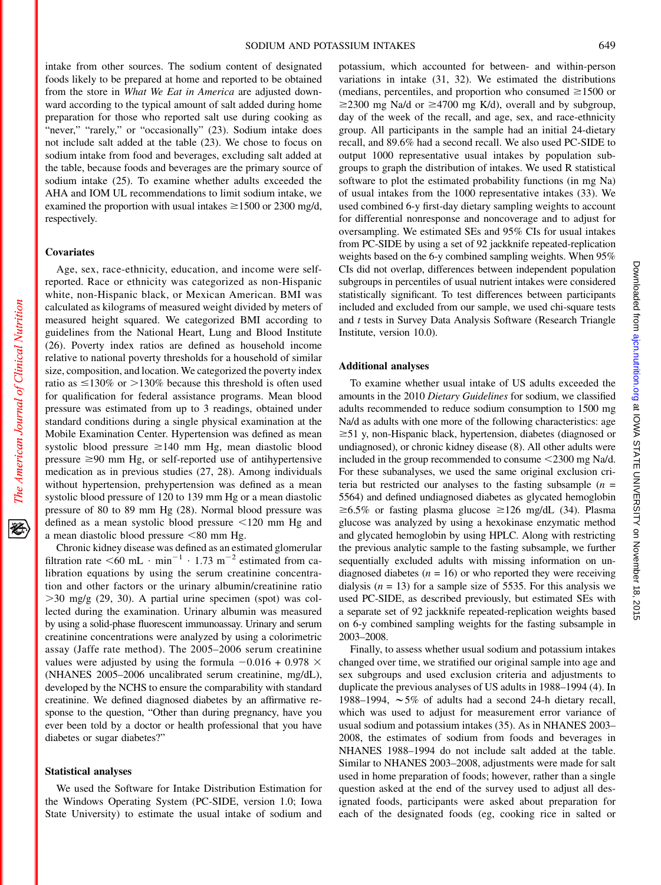intake from other sources. The sodium content of designated foods likely to be prepared at home and reported to be obtained from the store in What We Eat in America are adjusted downward according to the typical amount of salt added during home preparation for those who reported salt use during cooking as "never," "rarely," or "occasionally" (23). Sodium intake does not include salt added at the table (23). We chose to focus on sodium intake from food and beverages, excluding salt added at the table, because foods and beverages are the primary source of sodium intake (25). To examine whether adults exceeded the AHA and IOM UL recommendations to limit sodium intake, we examined the proportion with usual intakes  $\geq 1500$  or 2300 mg/d, respectively.

#### Covariates

Age, sex, race-ethnicity, education, and income were selfreported. Race or ethnicity was categorized as non-Hispanic white, non-Hispanic black, or Mexican American. BMI was calculated as kilograms of measured weight divided by meters of measured height squared. We categorized BMI according to guidelines from the National Heart, Lung and Blood Institute (26). Poverty index ratios are defined as household income relative to national poverty thresholds for a household of similar size, composition, and location. We categorized the poverty index ratio as  $\leq 130\%$  or  $>130\%$  because this threshold is often used for qualification for federal assistance programs. Mean blood pressure was estimated from up to 3 readings, obtained under standard conditions during a single physical examination at the Mobile Examination Center. Hypertension was defined as mean systolic blood pressure  $\geq 140$  mm Hg, mean diastolic blood pressure  $\geq 90$  mm Hg, or self-reported use of antihypertensive medication as in previous studies (27, 28). Among individuals without hypertension, prehypertension was defined as a mean systolic blood pressure of 120 to 139 mm Hg or a mean diastolic pressure of 80 to 89 mm Hg (28). Normal blood pressure was defined as a mean systolic blood pressure  $\leq 120$  mm Hg and a mean diastolic blood pressure  $<80$  mm Hg.

Chronic kidney disease was defined as an estimated glomerular filtration rate  $\leq 60$  mL  $\cdot$  min<sup>-1</sup>  $\cdot$  1.73 m<sup>-2</sup> estimated from calibration equations by using the serum creatinine concentration and other factors or the urinary albumin/creatinine ratio  $>$ 30 mg/g (29, 30). A partial urine specimen (spot) was collected during the examination. Urinary albumin was measured by using a solid-phase fluorescent immunoassay. Urinary and serum creatinine concentrations were analyzed by using a colorimetric assay (Jaffe rate method). The 2005–2006 serum creatinine values were adjusted by using the formula  $-0.016 + 0.978 \times$ (NHANES 2005–2006 uncalibrated serum creatinine, mg/dL), developed by the NCHS to ensure the comparability with standard creatinine. We defined diagnosed diabetes by an affirmative response to the question, "Other than during pregnancy, have you ever been told by a doctor or health professional that you have diabetes or sugar diabetes?"

## Statistical analyses

We used the Software for Intake Distribution Estimation for the Windows Operating System (PC-SIDE, version 1.0; Iowa State University) to estimate the usual intake of sodium and

potassium, which accounted for between- and within-person variations in intake (31, 32). We estimated the distributions (medians, percentiles, and proportion who consumed  $\geq$ 1500 or  $\geq$ 2300 mg Na/d or  $\geq$ 4700 mg K/d), overall and by subgroup, day of the week of the recall, and age, sex, and race-ethnicity group. All participants in the sample had an initial 24-dietary recall, and 89.6% had a second recall. We also used PC-SIDE to output 1000 representative usual intakes by population subgroups to graph the distribution of intakes. We used R statistical software to plot the estimated probability functions (in mg Na) of usual intakes from the 1000 representative intakes (33). We used combined 6-y first-day dietary sampling weights to account for differential nonresponse and noncoverage and to adjust for oversampling. We estimated SEs and 95% CIs for usual intakes from PC-SIDE by using a set of 92 jackknife repeated-replication weights based on the 6-y combined sampling weights. When 95% CIs did not overlap, differences between independent population subgroups in percentiles of usual nutrient intakes were considered statistically significant. To test differences between participants included and excluded from our sample, we used chi-square tests and t tests in Survey Data Analysis Software (Research Triangle Institute, version 10.0).

#### Additional analyses

To examine whether usual intake of US adults exceeded the amounts in the 2010 Dietary Guidelines for sodium, we classified adults recommended to reduce sodium consumption to 1500 mg Na/d as adults with one more of the following characteristics: age  $\geq$ 51 y, non-Hispanic black, hypertension, diabetes (diagnosed or undiagnosed), or chronic kidney disease (8). All other adults were included in the group recommended to consume  $\leq$ 2300 mg Na/d. For these subanalyses, we used the same original exclusion criteria but restricted our analyses to the fasting subsample  $(n =$ 5564) and defined undiagnosed diabetes as glycated hemoglobin  $\geq 6.5\%$  or fasting plasma glucose  $\geq 126$  mg/dL (34). Plasma glucose was analyzed by using a hexokinase enzymatic method and glycated hemoglobin by using HPLC. Along with restricting the previous analytic sample to the fasting subsample, we further sequentially excluded adults with missing information on undiagnosed diabetes ( $n = 16$ ) or who reported they were receiving dialysis ( $n = 13$ ) for a sample size of 5535. For this analysis we used PC-SIDE, as described previously, but estimated SEs with a separate set of 92 jackknife repeated-replication weights based on 6-y combined sampling weights for the fasting subsample in 2003–2008.

Finally, to assess whether usual sodium and potassium intakes changed over time, we stratified our original sample into age and sex subgroups and used exclusion criteria and adjustments to duplicate the previous analyses of US adults in 1988–1994 (4). In 1988–1994,  $\sim$  5% of adults had a second 24-h dietary recall, which was used to adjust for measurement error variance of usual sodium and potassium intakes (35). As in NHANES 2003– 2008, the estimates of sodium from foods and beverages in NHANES 1988–1994 do not include salt added at the table. Similar to NHANES 2003–2008, adjustments were made for salt used in home preparation of foods; however, rather than a single question asked at the end of the survey used to adjust all designated foods, participants were asked about preparation for each of the designated foods (eg, cooking rice in salted or

经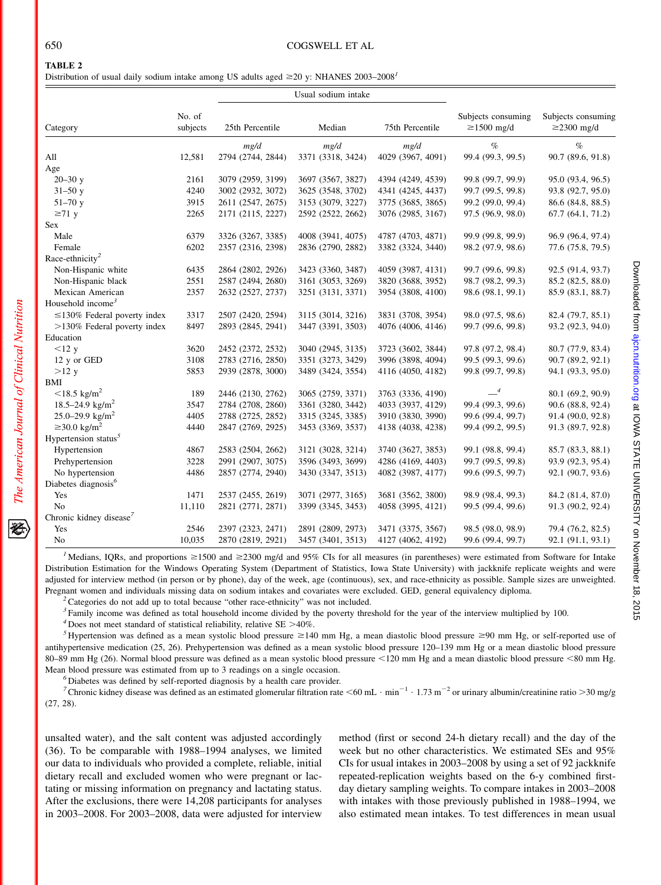The American Journal of Clinical Nutrition

Distribution of usual daily sodium intake among US adults aged  $\geq$ 20 y: NHANES 2003–2008<sup>1</sup>

|                                     |                    |                   | Usual sodium intake |                   |                                        |                                        |
|-------------------------------------|--------------------|-------------------|---------------------|-------------------|----------------------------------------|----------------------------------------|
| Category                            | No. of<br>subjects | 25th Percentile   | Median              | 75th Percentile   | Subjects consuming<br>$\geq$ 1500 mg/d | Subjects consuming<br>$\geq$ 2300 mg/d |
|                                     |                    | mg/d              | mg/d                | mg/d              | $\%$                                   | $\%$                                   |
| All                                 | 12,581             | 2794 (2744, 2844) | 3371 (3318, 3424)   | 4029 (3967, 4091) | 99.4 (99.3, 99.5)                      | 90.7 (89.6, 91.8)                      |
| Age                                 |                    |                   |                     |                   |                                        |                                        |
| $20 - 30$ y                         | 2161               | 3079 (2959, 3199) | 3697 (3567, 3827)   | 4394 (4249, 4539) | 99.8 (99.7, 99.9)                      | 95.0 (93.4, 96.5)                      |
| $31 - 50y$                          | 4240               | 3002 (2932, 3072) | 3625 (3548, 3702)   | 4341 (4245, 4437) | 99.7 (99.5, 99.8)                      | 93.8 (92.7, 95.0)                      |
| $51 - 70y$                          | 3915               | 2611 (2547, 2675) | 3153 (3079, 3227)   | 3775 (3685, 3865) | 99.2 (99.0, 99.4)                      | 86.6 (84.8, 88.5)                      |
| $\geq 71$ y                         | 2265               | 2171 (2115, 2227) | 2592 (2522, 2662)   | 3076 (2985, 3167) | 97.5 (96.9, 98.0)                      | 67.7 (64.1, 71.2)                      |
| Sex                                 |                    |                   |                     |                   |                                        |                                        |
| Male                                | 6379               | 3326 (3267, 3385) | 4008 (3941, 4075)   | 4787 (4703, 4871) | 99.9 (99.8, 99.9)                      | 96.9 (96.4, 97.4)                      |
| Female                              | 6202               | 2357 (2316, 2398) | 2836 (2790, 2882)   | 3382 (3324, 3440) | 98.2 (97.9, 98.6)                      | 77.6 (75.8, 79.5)                      |
| Race-ethnicity <sup>2</sup>         |                    |                   |                     |                   |                                        |                                        |
| Non-Hispanic white                  | 6435               | 2864 (2802, 2926) | 3423 (3360, 3487)   | 4059 (3987, 4131) | 99.7 (99.6, 99.8)                      | 92.5 (91.4, 93.7)                      |
| Non-Hispanic black                  | 2551               | 2587 (2494, 2680) | 3161 (3053, 3269)   | 3820 (3688, 3952) | 98.7 (98.2, 99.3)                      | 85.2 (82.5, 88.0)                      |
| Mexican American                    | 2357               | 2632 (2527, 2737) | 3251 (3131, 3371)   | 3954 (3808, 4100) | 98.6 (98.1, 99.1)                      | 85.9 (83.1, 88.7)                      |
| Household income <sup>3</sup>       |                    |                   |                     |                   |                                        |                                        |
| $\leq$ 130% Federal poverty index   | 3317               | 2507 (2420, 2594) | 3115 (3014, 3216)   | 3831 (3708, 3954) | 98.0 (97.5, 98.6)                      | 82.4 (79.7, 85.1)                      |
| $>130\%$ Federal poverty index      | 8497               | 2893 (2845, 2941) | 3447 (3391, 3503)   | 4076 (4006, 4146) | 99.7 (99.6, 99.8)                      | 93.2 (92.3, 94.0)                      |
| Education                           |                    |                   |                     |                   |                                        |                                        |
| $<12$ y                             | 3620               | 2452 (2372, 2532) | 3040 (2945, 3135)   | 3723 (3602, 3844) | 97.8 (97.2, 98.4)                      | 80.7 (77.9, 83.4)                      |
| 12 y or GED                         | 3108               | 2783 (2716, 2850) | 3351 (3273, 3429)   | 3996 (3898, 4094) | 99.5 (99.3, 99.6)                      | 90.7 (89.2, 92.1)                      |
| $>12$ y                             | 5853               | 2939 (2878, 3000) | 3489 (3424, 3554)   | 4116 (4050, 4182) | 99.8 (99.7, 99.8)                      | 94.1 (93.3, 95.0)                      |
| BMI                                 |                    |                   |                     |                   |                                        |                                        |
| $<$ 18.5 kg/m <sup>2</sup>          | 189                | 2446 (2130, 2762) | 3065 (2759, 3371)   | 3763 (3336, 4190) | $-4$                                   | 80.1 (69.2, 90.9)                      |
| 18.5-24.9 $\text{kg/m}^2$           | 3547               | 2784 (2708, 2860) | 3361 (3280, 3442)   | 4033 (3937, 4129) | 99.4 (99.3, 99.6)                      | 90.6 (88.8, 92.4)                      |
| 25.0–29.9 kg/m <sup>2</sup>         | 4405               | 2788 (2725, 2852) | 3315 (3245, 3385)   | 3910 (3830, 3990) | 99.6 (99.4, 99.7)                      | 91.4 (90.0, 92.8)                      |
| $\geq$ 30.0 kg/m <sup>2</sup>       | 4440               | 2847 (2769, 2925) | 3453 (3369, 3537)   | 4138 (4038, 4238) | 99.4 (99.2, 99.5)                      | 91.3 (89.7, 92.8)                      |
| Hypertension status <sup>5</sup>    |                    |                   |                     |                   |                                        |                                        |
| Hypertension                        | 4867               | 2583 (2504, 2662) | 3121 (3028, 3214)   | 3740 (3627, 3853) | 99.1 (98.8, 99.4)                      | 85.7 (83.3, 88.1)                      |
| Prehypertension                     | 3228               | 2991 (2907, 3075) | 3596 (3493, 3699)   | 4286 (4169, 4403) | 99.7 (99.5, 99.8)                      | 93.9 (92.3, 95.4)                      |
| No hypertension                     | 4486               | 2857 (2774, 2940) | 3430 (3347, 3513)   | 4082 (3987, 4177) | 99.6 (99.5, 99.7)                      | 92.1 (90.7, 93.6)                      |
| Diabetes diagnosis <sup>6</sup>     |                    |                   |                     |                   |                                        |                                        |
| Yes                                 | 1471               | 2537 (2455, 2619) | 3071 (2977, 3165)   | 3681 (3562, 3800) | 98.9 (98.4, 99.3)                      | 84.2 (81.4, 87.0)                      |
| N <sub>o</sub>                      | 11,110             | 2821 (2771, 2871) | 3399 (3345, 3453)   | 4058 (3995, 4121) | 99.5 (99.4, 99.6)                      | 91.3 (90.2, 92.4)                      |
| Chronic kidney disease <sup>7</sup> |                    |                   |                     |                   |                                        |                                        |
| Yes                                 | 2546               | 2397 (2323, 2471) | 2891 (2809, 2973)   | 3471 (3375, 3567) | 98.5 (98.0, 98.9)                      | 79.4 (76.2, 82.5)                      |
| No                                  | 10,035             | 2870 (2819, 2921) | 3457 (3401, 3513)   | 4127 (4062, 4192) | 99.6 (99.4, 99.7)                      | 92.1 (91.1, 93.1)                      |

<sup>1</sup> Medians, IQRs, and proportions  $\geq 1500$  and  $\geq 2300$  mg/d and 95% CIs for all measures (in parentheses) were estimated from Software for Intake Distribution Estimation for the Windows Operating System (Department of Statistics, Iowa State University) with jackknife replicate weights and were adjusted for interview method (in person or by phone), day of the week, age (continuous), sex, and race-ethnicity as possible. Sample sizes are unweighted. Pregnant women and individuals missing data on sodium intakes and covariates were excluded. GED, general equivalency diploma. <sup>2</sup>Categories do not add up to total because "other race-ethnicity" was not included.

<sup>3</sup> Family income was defined as total household income divided by the poverty threshold for the year of the interview multiplied by 100.<br><sup>4</sup> Does not meet standard of statistical reliability, relative SE >40%.

<sup>5</sup> Hypertension was defined as a mean systolic blood pressure  $\geq$  140 mm Hg, a mean diastolic blood pressure  $\geq$ 90 mm Hg, or self-reported use of antihypertensive medication (25, 26). Prehypertension was defined as a mean systolic blood pressure 120–139 mm Hg or a mean diastolic blood pressure 80–89 mm Hg (26). Normal blood pressure was defined as a mean systolic blood pressure <120 mm Hg and a mean diastolic blood pressure <80 mm Hg. Mean blood pressure was estimated from up to 3 readings on a single occasion. <sup>6</sup> Diabetes was defined by self-reported diagnosis by a health care provider.

<sup>7</sup>Chronic kidney disease was defined as an estimated glomerular filtration rate <60 mL  $\cdot$  min<sup>-1</sup>  $\cdot$  1.73 m<sup>-2</sup> or urinary albumin/creatinine ratio >30 mg/g (27, 28).

unsalted water), and the salt content was adjusted accordingly (36). To be comparable with 1988–1994 analyses, we limited our data to individuals who provided a complete, reliable, initial dietary recall and excluded women who were pregnant or lactating or missing information on pregnancy and lactating status. After the exclusions, there were 14,208 participants for analyses in 2003–2008. For 2003–2008, data were adjusted for interview

method (first or second 24-h dietary recall) and the day of the week but no other characteristics. We estimated SEs and 95% CIs for usual intakes in 2003–2008 by using a set of 92 jackknife repeated-replication weights based on the 6-y combined firstday dietary sampling weights. To compare intakes in 2003–2008 with intakes with those previously published in 1988–1994, we also estimated mean intakes. To test differences in mean usual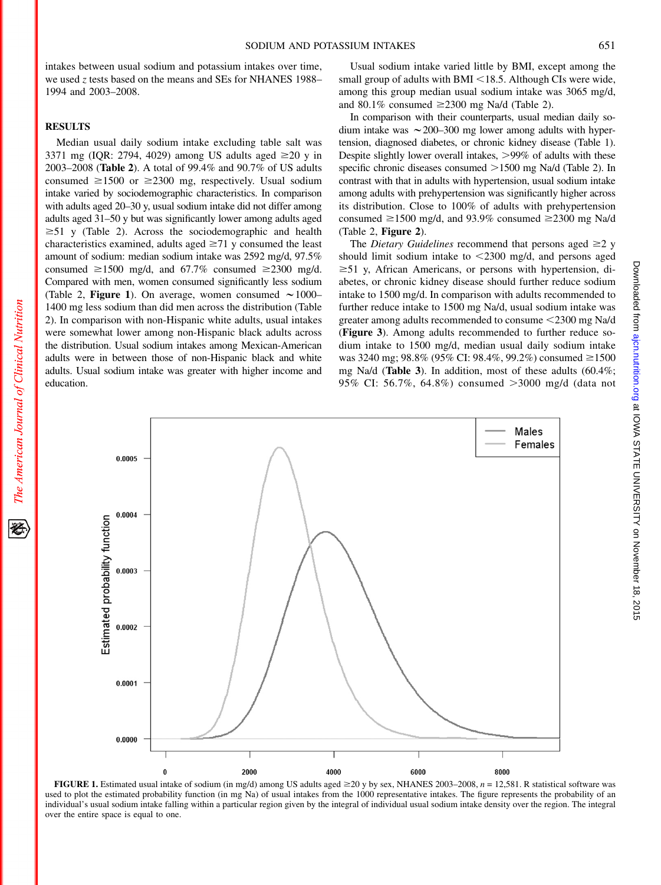intakes between usual sodium and potassium intakes over time, we used z tests based on the means and SEs for NHANES 1988– 1994 and 2003–2008.

# **RESULTS**

Median usual daily sodium intake excluding table salt was 3371 mg (IQR: 2794, 4029) among US adults aged  $\geq 20$  y in 2003–2008 (Table 2). A total of 99.4% and 90.7% of US adults consumed  $\geq 1500$  or  $\geq 2300$  mg, respectively. Usual sodium intake varied by sociodemographic characteristics. In comparison with adults aged 20–30 y, usual sodium intake did not differ among adults aged 31–50 y but was significantly lower among adults aged  $\geq 51$  y (Table 2). Across the sociodemographic and health characteristics examined, adults aged  $\geq$ 71 y consumed the least amount of sodium: median sodium intake was 2592 mg/d, 97.5% consumed  $\geq 1500$  mg/d, and 67.7% consumed  $\geq 2300$  mg/d. Compared with men, women consumed significantly less sodium (Table 2, Figure 1). On average, women consumed  $\sim$  1000– 1400 mg less sodium than did men across the distribution (Table 2). In comparison with non-Hispanic white adults, usual intakes were somewhat lower among non-Hispanic black adults across the distribution. Usual sodium intakes among Mexican-American adults were in between those of non-Hispanic black and white adults. Usual sodium intake was greater with higher income and education.

Usual sodium intake varied little by BMI, except among the small group of adults with BMI  $\leq$ 18.5. Although CIs were wide, among this group median usual sodium intake was 3065 mg/d, and 80.1% consumed  $\geq$ 2300 mg Na/d (Table 2).

In comparison with their counterparts, usual median daily sodium intake was  $\sim$  200–300 mg lower among adults with hypertension, diagnosed diabetes, or chronic kidney disease (Table 1). Despite slightly lower overall intakes,  $>99\%$  of adults with these specific chronic diseases consumed  $>1500$  mg Na/d (Table 2). In contrast with that in adults with hypertension, usual sodium intake among adults with prehypertension was significantly higher across its distribution. Close to 100% of adults with prehypertension consumed  $\geq 1500$  mg/d, and 93.9% consumed  $\geq 2300$  mg Na/d (Table 2, Figure 2).

The *Dietary Guidelines* recommend that persons aged  $\geq 2$  y should limit sodium intake to  $\leq$ 2300 mg/d, and persons aged  $\geq 51$  y, African Americans, or persons with hypertension, diabetes, or chronic kidney disease should further reduce sodium intake to 1500 mg/d. In comparison with adults recommended to further reduce intake to 1500 mg Na/d, usual sodium intake was greater among adults recommended to consume <2300 mg Na/d (Figure 3). Among adults recommended to further reduce sodium intake to 1500 mg/d, median usual daily sodium intake was 3240 mg; 98.8% (95% CI: 98.4%, 99.2%) consumed  $\geq 1500$ mg Na/d (Table 3). In addition, most of these adults (60.4%; 95% CI: 56.7%, 64.8%) consumed  $>3000$  mg/d (data not



FIGURE 1. Estimated usual intake of sodium (in mg/d) among US adults aged  $\geq$  20 y by sex, NHANES 2003–2008, n = 12,581. R statistical software was used to plot the estimated probability function (in mg Na) of usual intakes from the 1000 representative intakes. The figure represents the probability of an individual's usual sodium intake falling within a particular region given by the integral of individual usual sodium intake density over the region. The integral over the entire space is equal to one.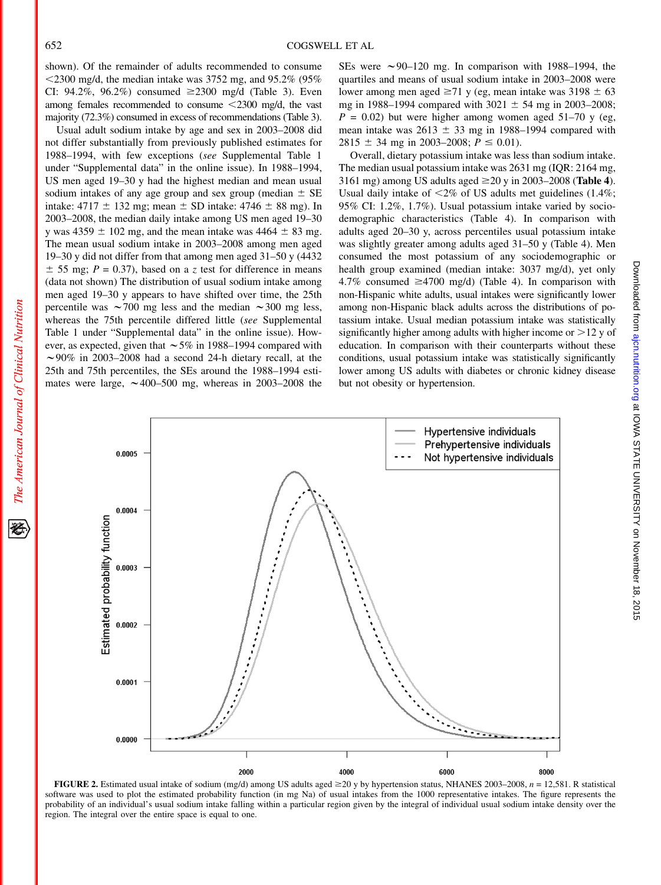shown). Of the remainder of adults recommended to consume  $\leq$ 2300 mg/d, the median intake was 3752 mg, and 95.2% (95%) CI: 94.2%, 96.2%) consumed  $\geq 2300$  mg/d (Table 3). Even among females recommended to consume  $\langle 2300 \rangle$  mg/d, the vast majority (72.3%) consumed in excess of recommendations (Table 3).

Usual adult sodium intake by age and sex in 2003–2008 did not differ substantially from previously published estimates for 1988–1994, with few exceptions (see Supplemental Table 1 under "Supplemental data" in the online issue). In 1988–1994, US men aged 19–30 y had the highest median and mean usual sodium intakes of any age group and sex group (median  $\pm$  SE intake: 4717  $\pm$  132 mg; mean  $\pm$  SD intake: 4746  $\pm$  88 mg). In 2003–2008, the median daily intake among US men aged 19–30 y was 4359  $\pm$  102 mg, and the mean intake was 4464  $\pm$  83 mg. The mean usual sodium intake in 2003–2008 among men aged 19–30 y did not differ from that among men aged 31–50 y (4432  $\pm$  55 mg; P = 0.37), based on a z test for difference in means (data not shown) The distribution of usual sodium intake among men aged 19–30 y appears to have shifted over time, the 25th percentile was  $\sim$  700 mg less and the median  $\sim$  300 mg less, whereas the 75th percentile differed little (see Supplemental Table 1 under "Supplemental data" in the online issue). However, as expected, given that  $\sim$  5% in 1988–1994 compared with  $\sim$ 90% in 2003–2008 had a second 24-h dietary recall, at the 25th and 75th percentiles, the SEs around the 1988–1994 estimates were large,  $\sim$  400–500 mg, whereas in 2003–2008 the

SEs were  $\sim$ 90–120 mg. In comparison with 1988–1994, the quartiles and means of usual sodium intake in 2003–2008 were lower among men aged  $\geq 71$  y (eg, mean intake was 3198  $\pm$  63 mg in 1988–1994 compared with  $3021 \pm 54$  mg in 2003–2008;  $P = 0.02$ ) but were higher among women aged 51–70 y (eg, mean intake was  $2613 \pm 33$  mg in 1988–1994 compared with 2815  $\pm$  34 mg in 2003–2008;  $P \le 0.01$ ).

Overall, dietary potassium intake was less than sodium intake. The median usual potassium intake was 2631 mg (IQR: 2164 mg, 3161 mg) among US adults aged  $\geq$ 20 y in 2003–2008 (Table 4). Usual daily intake of  $\leq 2\%$  of US adults met guidelines (1.4%; 95% CI: 1.2%, 1.7%). Usual potassium intake varied by sociodemographic characteristics (Table 4). In comparison with adults aged 20–30 y, across percentiles usual potassium intake was slightly greater among adults aged 31–50 y (Table 4). Men consumed the most potassium of any sociodemographic or health group examined (median intake: 3037 mg/d), yet only 4.7% consumed  $\geq$ 4700 mg/d) (Table 4). In comparison with non-Hispanic white adults, usual intakes were significantly lower among non-Hispanic black adults across the distributions of potassium intake. Usual median potassium intake was statistically significantly higher among adults with higher income or  $>12$  y of education. In comparison with their counterparts without these conditions, usual potassium intake was statistically significantly lower among US adults with diabetes or chronic kidney disease but not obesity or hypertension.



FIGURE 2. Estimated usual intake of sodium (mg/d) among US adults aged  $\geq$ 20 y by hypertension status, NHANES 2003–2008, n = 12,581. R statistical software was used to plot the estimated probability function (in mg Na) of usual intakes from the 1000 representative intakes. The figure represents the probability of an individual's usual sodium intake falling within a particular region given by the integral of individual usual sodium intake density over the region. The integral over the entire space is equal to one.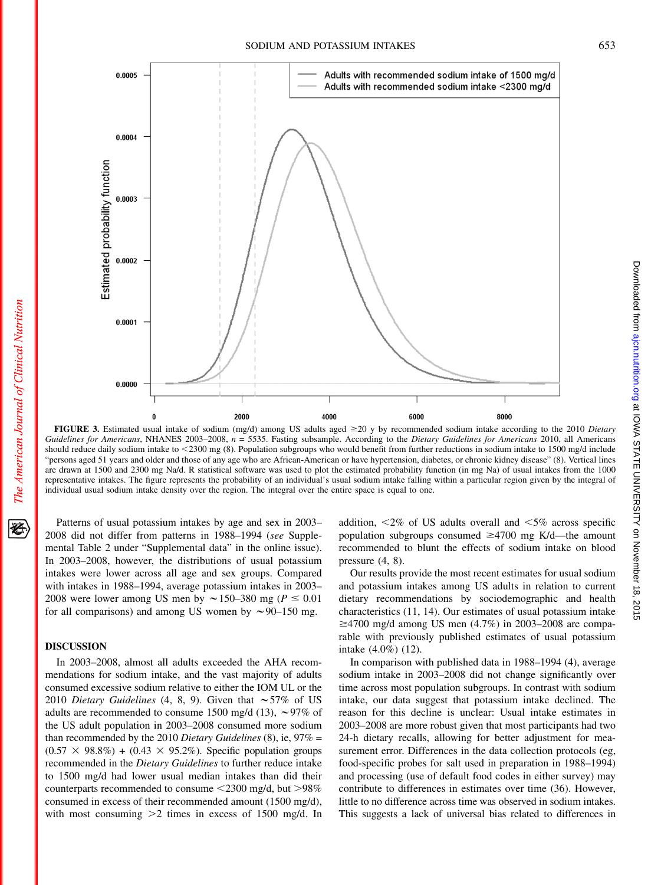#### SODIUM AND POTASSIUM INTAKES 653



FIGURE 3. Estimated usual intake of sodium (mg/d) among US adults aged  $\geq$ 20 y by recommended sodium intake according to the 2010 Dietary Guidelines for Americans, NHANES 2003–2008,  $n = 5535$ . Fasting subsample. According to the Dietary Guidelines for Americans 2010, all Americans should reduce daily sodium intake to <2300 mg (8). Population subgroups who would benefit from further reductions in sodium intake to 1500 mg/d include "persons aged 51 years and older and those of any age who are African-American or have hypertension, diabetes, or chronic kidney disease" (8). Vertical lines are drawn at 1500 and 2300 mg Na/d. R statistical software was used to plot the estimated probability function (in mg Na) of usual intakes from the 1000 representative intakes. The figure represents the probability of an individual's usual sodium intake falling within a particular region given by the integral of individual usual sodium intake density over the region. The integral over the entire space is equal to one.

Patterns of usual potassium intakes by age and sex in 2003– 2008 did not differ from patterns in 1988–1994 (see Supplemental Table 2 under "Supplemental data" in the online issue). In 2003–2008, however, the distributions of usual potassium intakes were lower across all age and sex groups. Compared with intakes in 1988–1994, average potassium intakes in 2003– 2008 were lower among US men by  $\sim$  150–380 mg ( $P \le 0.01$ ) for all comparisons) and among US women by  $\sim$ 90–150 mg.

# DISCUSSION

In 2003–2008, almost all adults exceeded the AHA recommendations for sodium intake, and the vast majority of adults consumed excessive sodium relative to either the IOM UL or the 2010 Dietary Guidelines (4, 8, 9). Given that  $\sim$  57% of US adults are recommended to consume 1500 mg/d (13),  $\sim$ 97% of the US adult population in 2003–2008 consumed more sodium than recommended by the 2010 Dietary Guidelines (8), ie,  $97\%$  =  $(0.57 \times 98.8\%) + (0.43 \times 95.2\%)$ . Specific population groups recommended in the Dietary Guidelines to further reduce intake to 1500 mg/d had lower usual median intakes than did their counterparts recommended to consume  $\leq$ 2300 mg/d, but  $>$ 98% consumed in excess of their recommended amount (1500 mg/d), with most consuming  $>2$  times in excess of 1500 mg/d. In

addition,  $\langle 2\% \rangle$  of US adults overall and  $\langle 5\% \rangle$  across specific population subgroups consumed  $\geq 4700$  mg K/d—the amount recommended to blunt the effects of sodium intake on blood pressure (4, 8).

Our results provide the most recent estimates for usual sodium and potassium intakes among US adults in relation to current dietary recommendations by sociodemographic and health characteristics (11, 14). Our estimates of usual potassium intake  $\geq$ 4700 mg/d among US men (4.7%) in 2003–2008 are comparable with previously published estimates of usual potassium intake (4.0%) (12).

In comparison with published data in 1988–1994 (4), average sodium intake in 2003–2008 did not change significantly over time across most population subgroups. In contrast with sodium intake, our data suggest that potassium intake declined. The reason for this decline is unclear: Usual intake estimates in 2003–2008 are more robust given that most participants had two 24-h dietary recalls, allowing for better adjustment for measurement error. Differences in the data collection protocols (eg, food-specific probes for salt used in preparation in 1988–1994) and processing (use of default food codes in either survey) may contribute to differences in estimates over time (36). However, little to no difference across time was observed in sodium intakes. This suggests a lack of universal bias related to differences in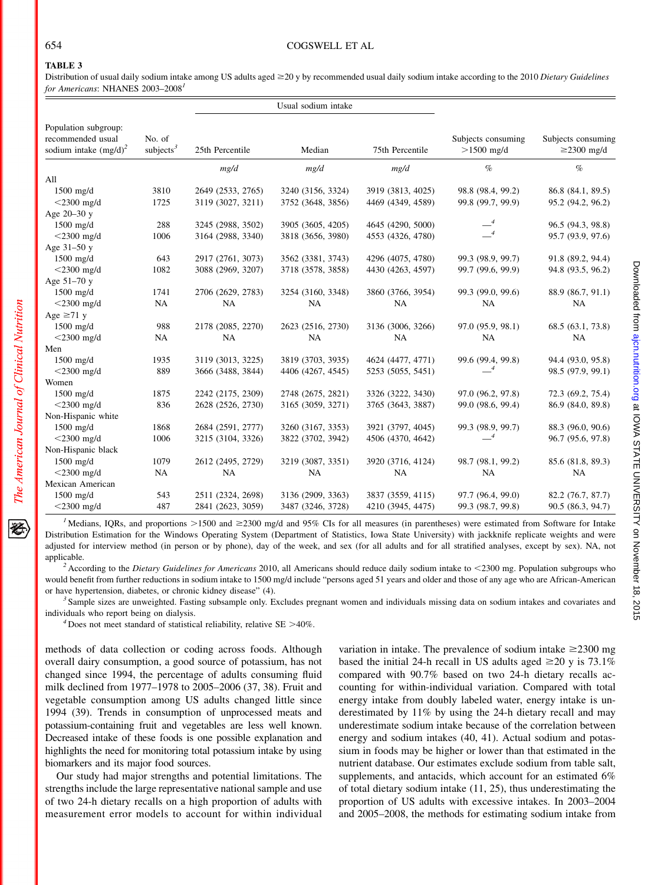# TABLE 3

Distribution of usual daily sodium intake among US adults aged ≥20 y by recommended usual daily sodium intake according to the 2010 Dietary Guidelines for Americans: NHANES 2003-2008<sup>1</sup>

|                                                                       |                        |                   | Usual sodium intake |                   |                                    |                                        |
|-----------------------------------------------------------------------|------------------------|-------------------|---------------------|-------------------|------------------------------------|----------------------------------------|
| Population subgroup:<br>recommended usual<br>sodium intake $(mg/d)^2$ | No. of<br>subjects $3$ | 25th Percentile   | Median              | 75th Percentile   | Subjects consuming<br>$>1500$ mg/d | Subjects consuming<br>$\geq$ 2300 mg/d |
|                                                                       |                        | mg/d              | mg/d                | mg/d              | $\%$                               | $\%$                                   |
| All                                                                   |                        |                   |                     |                   |                                    |                                        |
| 1500 mg/d                                                             | 3810                   | 2649 (2533, 2765) | 3240 (3156, 3324)   | 3919 (3813, 4025) | 98.8 (98.4, 99.2)                  | 86.8 (84.1, 89.5)                      |
| $<$ 2300 mg/d                                                         | 1725                   | 3119 (3027, 3211) | 3752 (3648, 3856)   | 4469 (4349, 4589) | 99.8 (99.7, 99.9)                  | 95.2 (94.2, 96.2)                      |
| Age 20-30 y                                                           |                        |                   |                     |                   |                                    |                                        |
| $1500$ mg/d                                                           | 288                    | 3245 (2988, 3502) | 3905 (3605, 4205)   | 4645 (4290, 5000) |                                    | 96.5 (94.3, 98.8)                      |
| $<$ 2300 mg/d                                                         | 1006                   | 3164 (2988, 3340) | 3818 (3656, 3980)   | 4553 (4326, 4780) | $-4$                               | 95.7 (93.9, 97.6)                      |
| Age 31-50 y                                                           |                        |                   |                     |                   |                                    |                                        |
| 1500 mg/d                                                             | 643                    | 2917 (2761, 3073) | 3562 (3381, 3743)   | 4296 (4075, 4780) | 99.3 (98.9, 99.7)                  | 91.8 (89.2, 94.4)                      |
| $<$ 2300 mg/d                                                         | 1082                   | 3088 (2969, 3207) | 3718 (3578, 3858)   | 4430 (4263, 4597) | 99.7 (99.6, 99.9)                  | 94.8 (93.5, 96.2)                      |
| Age 51-70 y                                                           |                        |                   |                     |                   |                                    |                                        |
| $1500$ mg/d                                                           | 1741                   | 2706 (2629, 2783) | 3254 (3160, 3348)   | 3860 (3766, 3954) | 99.3 (99.0, 99.6)                  | 88.9 (86.7, 91.1)                      |
| $<$ 2300 mg/d                                                         | NA                     | <b>NA</b>         | <b>NA</b>           | <b>NA</b>         | <b>NA</b>                          | <b>NA</b>                              |
| Age $\geq 71$ y                                                       |                        |                   |                     |                   |                                    |                                        |
| $1500$ mg/d                                                           | 988                    | 2178 (2085, 2270) | 2623 (2516, 2730)   | 3136 (3006, 3266) | 97.0 (95.9, 98.1)                  | 68.5 (63.1, 73.8)                      |
| $<$ 2300 mg/d                                                         | NA                     | <b>NA</b>         | <b>NA</b>           | <b>NA</b>         | <b>NA</b>                          | <b>NA</b>                              |
| Men                                                                   |                        |                   |                     |                   |                                    |                                        |
| $1500$ mg/d                                                           | 1935                   | 3119 (3013, 3225) | 3819 (3703, 3935)   | 4624 (4477, 4771) | 99.6 (99.4, 99.8)                  | 94.4 (93.0, 95.8)                      |
| $<$ 2300 mg/d                                                         | 889                    | 3666 (3488, 3844) | 4406 (4267, 4545)   | 5253 (5055, 5451) | $-4$                               | 98.5 (97.9, 99.1)                      |
| Women                                                                 |                        |                   |                     |                   |                                    |                                        |
| $1500$ mg/d                                                           | 1875                   | 2242 (2175, 2309) | 2748 (2675, 2821)   | 3326 (3222, 3430) | 97.0 (96.2, 97.8)                  | 72.3 (69.2, 75.4)                      |
| $<$ 2300 mg/d                                                         | 836                    | 2628 (2526, 2730) | 3165 (3059, 3271)   | 3765 (3643, 3887) | 99.0 (98.6, 99.4)                  | 86.9 (84.0, 89.8)                      |
| Non-Hispanic white                                                    |                        |                   |                     |                   |                                    |                                        |
| $1500$ mg/d                                                           | 1868                   | 2684 (2591, 2777) | 3260 (3167, 3353)   | 3921 (3797, 4045) | 99.3 (98.9, 99.7)                  | 88.3 (96.0, 90.6)                      |
| $<$ 2300 mg/d                                                         | 1006                   | 3215 (3104, 3326) | 3822 (3702, 3942)   | 4506 (4370, 4642) |                                    | 96.7 (95.6, 97.8)                      |
| Non-Hispanic black                                                    |                        |                   |                     |                   |                                    |                                        |
| $1500$ mg/d                                                           | 1079                   | 2612 (2495, 2729) | 3219 (3087, 3351)   | 3920 (3716, 4124) | 98.7 (98.1, 99.2)                  | 85.6 (81.8, 89.3)                      |
| $<$ 2300 mg/d                                                         | NA                     | NA                | <b>NA</b>           | NA                | NA                                 | <b>NA</b>                              |
| Mexican American                                                      |                        |                   |                     |                   |                                    |                                        |
| $1500$ mg/d                                                           | 543                    | 2511 (2324, 2698) | 3136 (2909, 3363)   | 3837 (3559, 4115) | 97.7 (96.4, 99.0)                  | 82.2 (76.7, 87.7)                      |
| $<$ 2300 mg/d                                                         | 487                    | 2841 (2623, 3059) | 3487 (3246, 3728)   | 4210 (3945, 4475) | 99.3 (98.7, 99.8)                  | 90.5 (86.3, 94.7)                      |

<sup>1</sup> Medians, IQRs, and proportions >1500 and  $\geq 2300$  mg/d and 95% CIs for all measures (in parentheses) were estimated from Software for Intake Distribution Estimation for the Windows Operating System (Department of Statistics, Iowa State University) with jackknife replicate weights and were adjusted for interview method (in person or by phone), day of the week, and sex (for all adults and for all stratified analyses, except by sex). NA, not applicable.<br><sup>2</sup> According to the *Dietary Guidelines for Americans* 2010, all Americans should reduce daily sodium intake to  $\lt$ 2300 mg. Population subgroups who

would benefit from further reductions in sodium intake to 1500 mg/d include "persons aged 51 years and older and those of any age who are African-American or have hypertension, diabetes, or chronic kidney disease" (4).<br><sup>3</sup> Sample sizes are unweighted. Fasting subsample only. Excludes pregnant women and individuals missing data on sodium intakes and covariates and

individuals who report being on dialysis.<br> $4$  Does not meet standard of statistical reliability, relative SE >40%.

methods of data collection or coding across foods. Although overall dairy consumption, a good source of potassium, has not changed since 1994, the percentage of adults consuming fluid milk declined from 1977–1978 to 2005–2006 (37, 38). Fruit and vegetable consumption among US adults changed little since 1994 (39). Trends in consumption of unprocessed meats and potassium-containing fruit and vegetables are less well known. Decreased intake of these foods is one possible explanation and highlights the need for monitoring total potassium intake by using biomarkers and its major food sources.

Our study had major strengths and potential limitations. The strengths include the large representative national sample and use of two 24-h dietary recalls on a high proportion of adults with measurement error models to account for within individual

variation in intake. The prevalence of sodium intake  $\geq$ 2300 mg based the initial 24-h recall in US adults aged  $\geq$ 20 y is 73.1% compared with 90.7% based on two 24-h dietary recalls accounting for within-individual variation. Compared with total energy intake from doubly labeled water, energy intake is underestimated by 11% by using the 24-h dietary recall and may underestimate sodium intake because of the correlation between energy and sodium intakes (40, 41). Actual sodium and potassium in foods may be higher or lower than that estimated in the nutrient database. Our estimates exclude sodium from table salt, supplements, and antacids, which account for an estimated 6% of total dietary sodium intake (11, 25), thus underestimating the proportion of US adults with excessive intakes. In 2003–2004 and 2005–2008, the methods for estimating sodium intake from

犵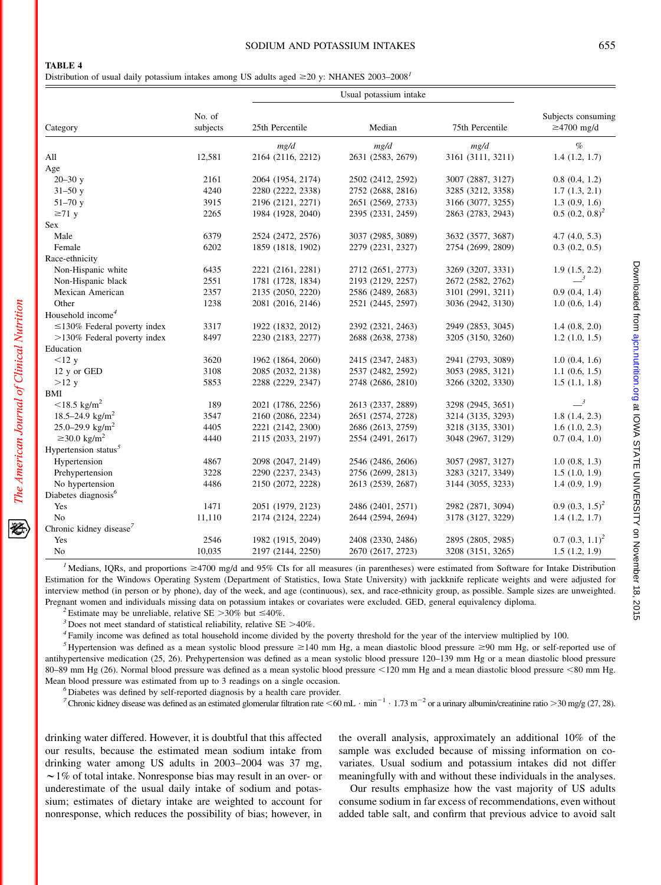#### SODIUM AND POTASSIUM INTAKES 655

Distribution of usual daily potassium intakes among US adults aged  $\geq$ 20 y: NHANES 2003–2008<sup>1</sup>

| Category                            | No. of<br>subjects | 25th Percentile   | Median            | 75th Percentile   | Subjects consuming<br>$\geq$ 4700 mg/d |
|-------------------------------------|--------------------|-------------------|-------------------|-------------------|----------------------------------------|
|                                     |                    | mg/d              | mg/d              | mg/d              | $\%$                                   |
| All                                 | 12,581             | 2164 (2116, 2212) | 2631 (2583, 2679) | 3161 (3111, 3211) | 1.4(1.2, 1.7)                          |
| Age                                 |                    |                   |                   |                   |                                        |
| $20 - 30y$                          | 2161               | 2064 (1954, 2174) | 2502 (2412, 2592) | 3007 (2887, 3127) | 0.8(0.4, 1.2)                          |
| $31 - 50y$                          | 4240               | 2280 (2222, 2338) | 2752 (2688, 2816) | 3285 (3212, 3358) | 1.7(1.3, 2.1)                          |
| $51 - 70y$                          | 3915               | 2196 (2121, 2271) | 2651 (2569, 2733) | 3166 (3077, 3255) | 1.3(0.9, 1.6)                          |
| $\geq 71$ y                         | 2265               | 1984 (1928, 2040) | 2395 (2331, 2459) | 2863 (2783, 2943) | $0.5 (0.2, 0.8)^2$                     |
| Sex                                 |                    |                   |                   |                   |                                        |
| Male                                | 6379               | 2524 (2472, 2576) | 3037 (2985, 3089) | 3632 (3577, 3687) | 4.7(4.0, 5.3)                          |
| Female                              | 6202               | 1859 (1818, 1902) | 2279 (2231, 2327) | 2754 (2699, 2809) | 0.3(0.2, 0.5)                          |
| Race-ethnicity                      |                    |                   |                   |                   |                                        |
| Non-Hispanic white                  | 6435               | 2221 (2161, 2281) | 2712 (2651, 2773) | 3269 (3207, 3331) | 1.9(1.5, 2.2)                          |
| Non-Hispanic black                  | 2551               | 1781 (1728, 1834) | 2193 (2129, 2257) | 2672 (2582, 2762) | $\boldsymbol{\beta}$                   |
| Mexican American                    | 2357               | 2135 (2050, 2220) | 2586 (2489, 2683) | 3101 (2991, 3211) | 0.9(0.4, 1.4)                          |
| Other                               | 1238               | 2081 (2016, 2146) | 2521 (2445, 2597) | 3036 (2942, 3130) | 1.0(0.6, 1.4)                          |
| Household income <sup>4</sup>       |                    |                   |                   |                   |                                        |
| $\leq$ 130% Federal poverty index   | 3317               | 1922 (1832, 2012) | 2392 (2321, 2463) | 2949 (2853, 3045) | 1.4(0.8, 2.0)                          |
| $>130\%$ Federal poverty index      | 8497               | 2230 (2183, 2277) | 2688 (2638, 2738) | 3205 (3150, 3260) | 1.2(1.0, 1.5)                          |
| Education                           |                    |                   |                   |                   |                                        |
| <12 y                               | 3620               | 1962 (1864, 2060) | 2415 (2347, 2483) | 2941 (2793, 3089) | 1.0(0.4, 1.6)                          |
| 12 y or GED                         | 3108               | 2085 (2032, 2138) | 2537 (2482, 2592) | 3053 (2985, 3121) | 1.1(0.6, 1.5)                          |
| $>12$ y                             | 5853               | 2288 (2229, 2347) | 2748 (2686, 2810) | 3266 (3202, 3330) | 1.5(1.1, 1.8)                          |
| BMI                                 |                    |                   |                   |                   |                                        |
| $<$ 18.5 kg/m <sup>2</sup>          | 189                | 2021 (1786, 2256) | 2613 (2337, 2889) | 3298 (2945, 3651) | $\overline{\phantom{0}3}$              |
| 18.5–24.9 kg/m <sup>2</sup>         | 3547               | 2160 (2086, 2234) | 2651 (2574, 2728) | 3214 (3135, 3293) | 1.8(1.4, 2.3)                          |
| 25.0–29.9 kg/m <sup>2</sup>         | 4405               | 2221 (2142, 2300) | 2686 (2613, 2759) | 3218 (3135, 3301) | 1.6(1.0, 2.3)                          |
| $\geq$ 30.0 kg/m <sup>2</sup>       | 4440               | 2115 (2033, 2197) | 2554 (2491, 2617) | 3048 (2967, 3129) | 0.7(0.4, 1.0)                          |
| Hypertension status <sup>5</sup>    |                    |                   |                   |                   |                                        |
| Hypertension                        | 4867               | 2098 (2047, 2149) | 2546 (2486, 2606) | 3057 (2987, 3127) | 1.0(0.8, 1.3)                          |
| Prehypertension                     | 3228               | 2290 (2237, 2343) | 2756 (2699, 2813) | 3283 (3217, 3349) | 1.5(1.0, 1.9)                          |
| No hypertension                     | 4486               | 2150 (2072, 2228) | 2613 (2539, 2687) | 3144 (3055, 3233) | 1.4(0.9, 1.9)                          |
| Diabetes diagnosis <sup>6</sup>     |                    |                   |                   |                   |                                        |
| Yes                                 | 1471               | 2051 (1979, 2123) | 2486 (2401, 2571) | 2982 (2871, 3094) | $0.9(0.3, 1.5)^2$                      |
| N <sub>o</sub>                      | 11,110             | 2174 (2124, 2224) | 2644 (2594, 2694) | 3178 (3127, 3229) | 1.4(1.2, 1.7)                          |
| Chronic kidney disease <sup>7</sup> |                    |                   |                   |                   |                                        |
| Yes                                 | 2546               | 1982 (1915, 2049) | 2408 (2330, 2486) | 2895 (2805, 2985) | $0.7 (0.3, 1.1)^2$                     |
| No                                  | 10,035             | 2197 (2144, 2250) | 2670 (2617, 2723) | 3208 (3151, 3265) | 1.5(1.2, 1.9)                          |

<sup>1</sup> Medians, IQRs, and proportions  $\geq 4700$  mg/d and 95% CIs for all measures (in parentheses) were estimated from Software for Intake Distribution Estimation for the Windows Operating System (Department of Statistics, Iowa State University) with jackknife replicate weights and were adjusted for interview method (in person or by phone), day of the week, and age (continuous), sex, and race-ethnicity group, as possible. Sample sizes are unweighted. Pregnant women and individuals missing data on potassium intakes or covariates were excluded. GED, general equivalency diploma.<br>
<sup>2</sup> Estimate may be unreliable, relative SE >30% but ≤40%.<br>
<sup>3</sup> Does not meet standard of st

<sup>5</sup> Hypertension was defined as a mean systolic blood pressure  $\geq$ 140 mm Hg, a mean diastolic blood pressure  $\geq$ 90 mm Hg, or self-reported use of antihypertensive medication (25, 26). Prehypertension was defined as a mean systolic blood pressure 120–139 mm Hg or a mean diastolic blood pressure 80–89 mm Hg (26). Normal blood pressure was defined as a mean systolic blood pressure <120 mm Hg and a mean diastolic blood pressure <80 mm Hg. Mean blood pressure was estimated from up to 3 readings on a single occasion. <sup>6</sup> Diabetes was defined by self-reported diagnosis by a health care provider.

<sup>7</sup> Chronic kidney disease was defined as an estimated glomerular filtration rate  $\leq 60$  mL  $\cdot$  min<sup>-1</sup>  $\cdot$  1.73 m<sup>-2</sup> or a urinary albumin/creatinine ratio  $>$ 30 mg/g (27, 28).

drinking water differed. However, it is doubtful that this affected our results, because the estimated mean sodium intake from drinking water among US adults in 2003–2004 was 37 mg,  $\sim$  1% of total intake. Nonresponse bias may result in an over- or underestimate of the usual daily intake of sodium and potassium; estimates of dietary intake are weighted to account for nonresponse, which reduces the possibility of bias; however, in the overall analysis, approximately an additional 10% of the sample was excluded because of missing information on covariates. Usual sodium and potassium intakes did not differ meaningfully with and without these individuals in the analyses.

Our results emphasize how the vast majority of US adults consume sodium in far excess of recommendations, even without added table salt, and confirm that previous advice to avoid salt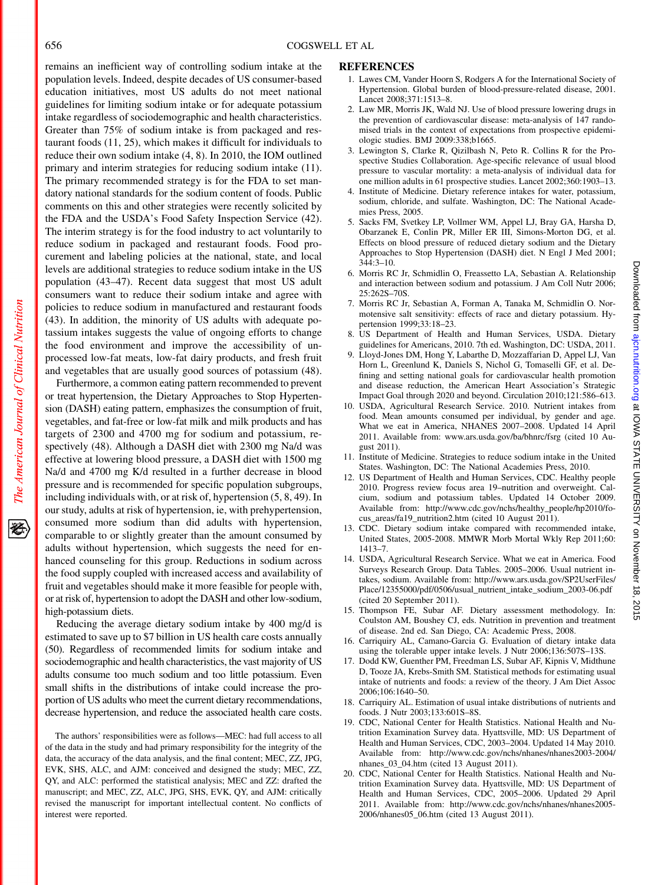## 656 COGSWELL ET AL

remains an inefficient way of controlling sodium intake at the population levels. Indeed, despite decades of US consumer-based education initiatives, most US adults do not meet national guidelines for limiting sodium intake or for adequate potassium intake regardless of sociodemographic and health characteristics. Greater than 75% of sodium intake is from packaged and restaurant foods (11, 25), which makes it difficult for individuals to reduce their own sodium intake (4, 8). In 2010, the IOM outlined primary and interim strategies for reducing sodium intake (11). The primary recommended strategy is for the FDA to set mandatory national standards for the sodium content of foods. Public comments on this and other strategies were recently solicited by the FDA and the USDA's Food Safety Inspection Service (42). The interim strategy is for the food industry to act voluntarily to reduce sodium in packaged and restaurant foods. Food procurement and labeling policies at the national, state, and local levels are additional strategies to reduce sodium intake in the US population (43–47). Recent data suggest that most US adult consumers want to reduce their sodium intake and agree with policies to reduce sodium in manufactured and restaurant foods (43). In addition, the minority of US adults with adequate potassium intakes suggests the value of ongoing efforts to change the food environment and improve the accessibility of unprocessed low-fat meats, low-fat dairy products, and fresh fruit and vegetables that are usually good sources of potassium (48).

Furthermore, a common eating pattern recommended to prevent or treat hypertension, the Dietary Approaches to Stop Hypertension (DASH) eating pattern, emphasizes the consumption of fruit, vegetables, and fat-free or low-fat milk and milk products and has targets of 2300 and 4700 mg for sodium and potassium, respectively (48). Although a DASH diet with 2300 mg Na/d was effective at lowering blood pressure, a DASH diet with 1500 mg Na/d and 4700 mg K/d resulted in a further decrease in blood pressure and is recommended for specific population subgroups, including individuals with, or at risk of, hypertension (5, 8, 49). In our study, adults at risk of hypertension, ie, with prehypertension, consumed more sodium than did adults with hypertension, comparable to or slightly greater than the amount consumed by adults without hypertension, which suggests the need for enhanced counseling for this group. Reductions in sodium across the food supply coupled with increased access and availability of fruit and vegetables should make it more feasible for people with, or at risk of, hypertension to adopt the DASH and other low-sodium, high-potassium diets.

Reducing the average dietary sodium intake by 400 mg/d is estimated to save up to \$7 billion in US health care costs annually (50). Regardless of recommended limits for sodium intake and sociodemographic and health characteristics, the vast majority of US adults consume too much sodium and too little potassium. Even small shifts in the distributions of intake could increase the proportion of US adults who meet the current dietary recommendations, decrease hypertension, and reduce the associated health care costs.

The authors' responsibilities were as follows—MEC: had full access to all of the data in the study and had primary responsibility for the integrity of the data, the accuracy of the data analysis, and the final content; MEC, ZZ, JPG, EVK, SHS, ALC, and AJM: conceived and designed the study; MEC, ZZ, QY, and ALC: performed the statistical analysis; MEC and ZZ: drafted the manuscript; and MEC, ZZ, ALC, JPG, SHS, EVK, QY, and AJM: critically revised the manuscript for important intellectual content. No conflicts of interest were reported.

#### REFERENCES

- 1. Lawes CM, Vander Hoorn S, Rodgers A for the International Society of Hypertension. Global burden of blood-pressure-related disease, 2001. Lancet 2008;371:1513–8.
- 2. Law MR, Morris JK, Wald NJ. Use of blood pressure lowering drugs in the prevention of cardiovascular disease: meta-analysis of 147 randomised trials in the context of expectations from prospective epidemiologic studies. BMJ 2009:338;b1665.
- 3. Lewington S, Clarke R, Qizilbash N, Peto R. Collins R for the Prospective Studies Collaboration. Age-specific relevance of usual blood pressure to vascular mortality: a meta-analysis of individual data for one million adults in 61 prospective studies. Lancet 2002;360:1903–13.
- 4. Institute of Medicine. Dietary reference intakes for water, potassium, sodium, chloride, and sulfate. Washington, DC: The National Academies Press, 2005.
- 5. Sacks FM, Svetkey LP, Vollmer WM, Appel LJ, Bray GA, Harsha D, Obarzanek E, Conlin PR, Miller ER III, Simons-Morton DG, et al. Effects on blood pressure of reduced dietary sodium and the Dietary Approaches to Stop Hypertension (DASH) diet. N Engl J Med 2001; 344:3–10.
- 6. Morris RC Jr, Schmidlin O, Freassetto LA, Sebastian A. Relationship and interaction between sodium and potassium. J Am Coll Nutr 2006; 25:262S–70S.
- 7. Morris RC Jr, Sebastian A, Forman A, Tanaka M, Schmidlin O. Normotensive salt sensitivity: effects of race and dietary potassium. Hypertension 1999;33:18–23.
- 8. US Department of Health and Human Services, USDA. Dietary guidelines for Americans, 2010. 7th ed. Washington, DC: USDA, 2011.
- 9. Lloyd-Jones DM, Hong Y, Labarthe D, Mozzaffarian D, Appel LJ, Van Horn L, Greenlund K, Daniels S, Nichol G, Tomaselli GF, et al. Defining and setting national goals for cardiovascular health promotion and disease reduction, the American Heart Association's Strategic Impact Goal through 2020 and beyond. Circulation 2010;121:586–613.
- 10. USDA, Agricultural Research Service. 2010. Nutrient intakes from food. Mean amounts consumed per individual, by gender and age. What we eat in America, NHANES 2007–2008. Updated 14 April 2011. Available from: www.ars.usda.gov/ba/bhnrc/fsrg (cited 10 August 2011).
- 11. Institute of Medicine. Strategies to reduce sodium intake in the United States. Washington, DC: The National Academies Press, 2010.
- 12. US Department of Health and Human Services, CDC. Healthy people 2010. Progress review focus area 19–nutrition and overweight. Calcium, sodium and potassium tables. Updated 14 October 2009. Available from: http://www.cdc.gov/nchs/healthy\_people/hp2010/focus\_areas/fa19\_nutrition2.htm (cited 10 August 2011).
- 13. CDC. Dietary sodium intake compared with recommended intake, United States, 2005-2008. MMWR Morb Mortal Wkly Rep 2011;60: 1413–7.
- 14. USDA, Agricultural Research Service. What we eat in America. Food Surveys Research Group. Data Tables. 2005–2006. Usual nutrient intakes, sodium. Available from: http://www.ars.usda.gov/SP2UserFiles/ Place/12355000/pdf/0506/usual\_nutrient\_intake\_sodium\_2003-06.pdf (cited 20 September 2011).
- 15. Thompson FE, Subar AF. Dietary assessment methodology. In: Coulston AM, Boushey CJ, eds. Nutrition in prevention and treatment of disease. 2nd ed. San Diego, CA: Academic Press, 2008.
- 16. Carriquiry AL, Camano-Garcia G. Evaluation of dietary intake data using the tolerable upper intake levels. J Nutr 2006;136:507S–13S.
- 17. Dodd KW, Guenther PM, Freedman LS, Subar AF, Kipnis V, Midthune D, Tooze JA, Krebs-Smith SM. Statistical methods for estimating usual intake of nutrients and foods: a review of the theory. J Am Diet Assoc 2006;106:1640–50.
- 18. Carriquiry AL. Estimation of usual intake distributions of nutrients and foods. J Nutr 2003;133:601S–8S.
- 19. CDC, National Center for Health Statistics. National Health and Nutrition Examination Survey data. Hyattsville, MD: US Department of Health and Human Services, CDC, 2003–2004. Updated 14 May 2010. Available from: http://www.cdc.gov/nchs/nhanes/nhanes2003-2004/ nhanes\_03\_04.htm (cited 13 August 2011).
- 20. CDC, National Center for Health Statistics. National Health and Nutrition Examination Survey data. Hyattsville, MD: US Department of Health and Human Services, CDC, 2005–2006. Updated 29 April 2011. Available from: http://www.cdc.gov/nchs/nhanes/nhanes2005-2006/nhanes05\_06.htm (cited 13 August 2011).

资